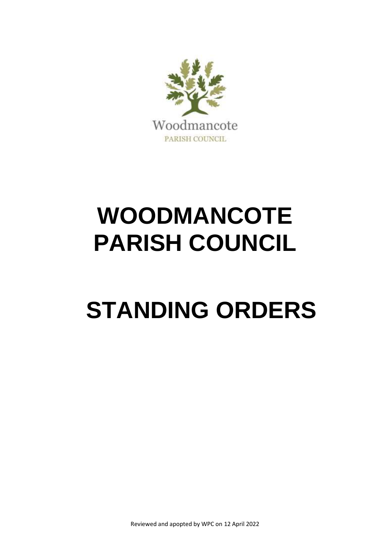

# **WOODMANCOTE PARISH COUNCIL**

# **STANDING ORDERS**

Reviewed and apopted by WPC on 12 April 2022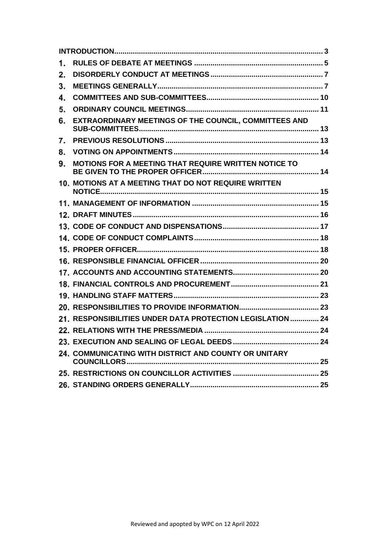| 1. |                                                            |  |
|----|------------------------------------------------------------|--|
| 2. |                                                            |  |
| 3. |                                                            |  |
| 4. |                                                            |  |
| 5. |                                                            |  |
| 6. | EXTRAORDINARY MEETINGS OF THE COUNCIL, COMMITTEES AND      |  |
| 7. |                                                            |  |
| 8. |                                                            |  |
| 9. | MOTIONS FOR A MEETING THAT REQUIRE WRITTEN NOTICE TO       |  |
|    | 10. MOTIONS AT A MEETING THAT DO NOT REQUIRE WRITTEN       |  |
|    |                                                            |  |
|    |                                                            |  |
|    |                                                            |  |
|    |                                                            |  |
|    |                                                            |  |
|    |                                                            |  |
|    |                                                            |  |
|    |                                                            |  |
|    |                                                            |  |
|    |                                                            |  |
|    | 21. RESPONSIBILITIES UNDER DATA PROTECTION LEGISLATION  24 |  |
|    |                                                            |  |
|    |                                                            |  |
|    | 24. COMMUNICATING WITH DISTRICT AND COUNTY OR UNITARY      |  |
|    |                                                            |  |
|    |                                                            |  |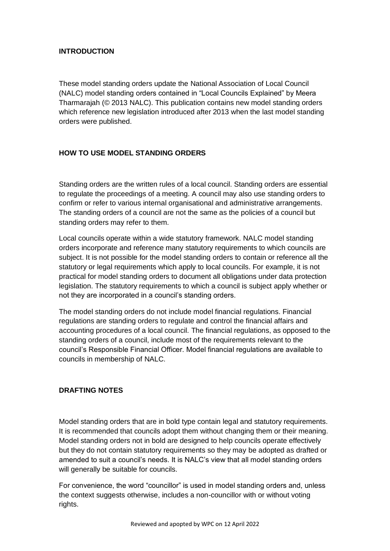## <span id="page-2-0"></span>**INTRODUCTION**

These model standing orders update the National Association of Local Council (NALC) model standing orders contained in "Local Councils Explained" by Meera Tharmarajah (© 2013 NALC). This publication contains new model standing orders which reference new legislation introduced after 2013 when the last model standing orders were published.

# **HOW TO USE MODEL STANDING ORDERS**

Standing orders are the written rules of a local council. Standing orders are essential to regulate the proceedings of a meeting. A council may also use standing orders to confirm or refer to various internal organisational and administrative arrangements. The standing orders of a council are not the same as the policies of a council but standing orders may refer to them.

Local councils operate within a wide statutory framework. NALC model standing orders incorporate and reference many statutory requirements to which councils are subject. It is not possible for the model standing orders to contain or reference all the statutory or legal requirements which apply to local councils. For example, it is not practical for model standing orders to document all obligations under data protection legislation. The statutory requirements to which a council is subject apply whether or not they are incorporated in a council's standing orders.

The model standing orders do not include model financial regulations. Financial regulations are standing orders to regulate and control the financial affairs and accounting procedures of a local council. The financial regulations, as opposed to the standing orders of a council, include most of the requirements relevant to the council's Responsible Financial Officer. Model financial regulations are available to councils in membership of NALC.

# **DRAFTING NOTES**

Model standing orders that are in bold type contain legal and statutory requirements. It is recommended that councils adopt them without changing them or their meaning. Model standing orders not in bold are designed to help councils operate effectively but they do not contain statutory requirements so they may be adopted as drafted or amended to suit a council's needs. It is NALC's view that all model standing orders will generally be suitable for councils.

For convenience, the word "councillor" is used in model standing orders and, unless the context suggests otherwise, includes a non-councillor with or without voting rights.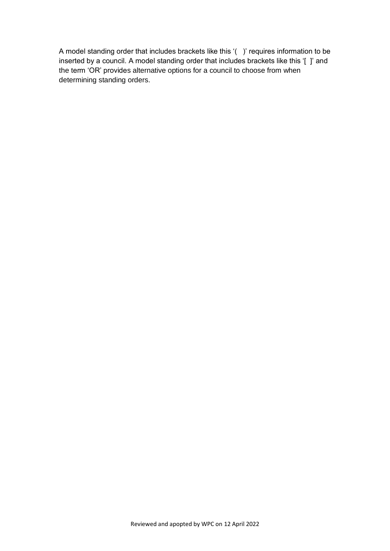A model standing order that includes brackets like this '( )' requires information to be inserted by a council. A model standing order that includes brackets like this '[ ]' and the term 'OR' provides alternative options for a council to choose from when determining standing orders.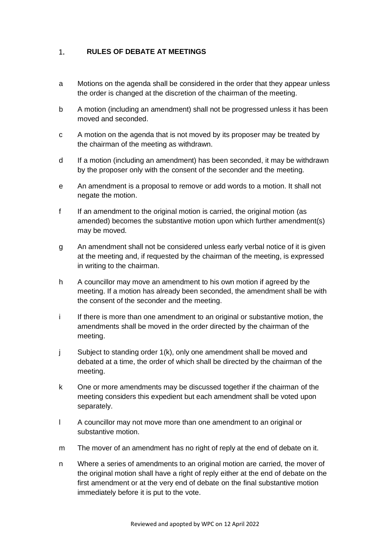#### <span id="page-4-0"></span> $1.$ **RULES OF DEBATE AT MEETINGS**

- a Motions on the agenda shall be considered in the order that they appear unless the order is changed at the discretion of the chairman of the meeting.
- b A motion (including an amendment) shall not be progressed unless it has been moved and seconded.
- c A motion on the agenda that is not moved by its proposer may be treated by the chairman of the meeting as withdrawn.
- d If a motion (including an amendment) has been seconded, it may be withdrawn by the proposer only with the consent of the seconder and the meeting.
- e An amendment is a proposal to remove or add words to a motion. It shall not negate the motion.
- f If an amendment to the original motion is carried, the original motion (as amended) becomes the substantive motion upon which further amendment(s) may be moved.
- g An amendment shall not be considered unless early verbal notice of it is given at the meeting and, if requested by the chairman of the meeting, is expressed in writing to the chairman.
- h A councillor may move an amendment to his own motion if agreed by the meeting. If a motion has already been seconded, the amendment shall be with the consent of the seconder and the meeting.
- i If there is more than one amendment to an original or substantive motion, the amendments shall be moved in the order directed by the chairman of the meeting.
- j Subject to standing order 1(k), only one amendment shall be moved and debated at a time, the order of which shall be directed by the chairman of the meeting.
- k One or more amendments may be discussed together if the chairman of the meeting considers this expedient but each amendment shall be voted upon separately.
- l A councillor may not move more than one amendment to an original or substantive motion.
- m The mover of an amendment has no right of reply at the end of debate on it.
- n Where a series of amendments to an original motion are carried, the mover of the original motion shall have a right of reply either at the end of debate on the first amendment or at the very end of debate on the final substantive motion immediately before it is put to the vote.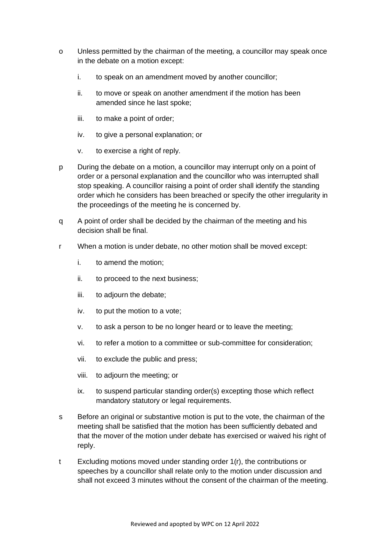- o Unless permitted by the chairman of the meeting, a councillor may speak once in the debate on a motion except:
	- i. to speak on an amendment moved by another councillor;
	- ii. to move or speak on another amendment if the motion has been amended since he last spoke;
	- iii. to make a point of order;
	- iv. to give a personal explanation; or
	- v. to exercise a right of reply.
- p During the debate on a motion, a councillor may interrupt only on a point of order or a personal explanation and the councillor who was interrupted shall stop speaking. A councillor raising a point of order shall identify the standing order which he considers has been breached or specify the other irregularity in the proceedings of the meeting he is concerned by.
- q A point of order shall be decided by the chairman of the meeting and his decision shall be final.
- r When a motion is under debate, no other motion shall be moved except:
	- i. to amend the motion;
	- ii. to proceed to the next business;
	- iii. to adjourn the debate;
	- iv. to put the motion to a vote;
	- v. to ask a person to be no longer heard or to leave the meeting;
	- vi. to refer a motion to a committee or sub-committee for consideration;
	- vii. to exclude the public and press;
	- viii. to adjourn the meeting; or
	- ix. to suspend particular standing order(s) excepting those which reflect mandatory statutory or legal requirements.
- s Before an original or substantive motion is put to the vote, the chairman of the meeting shall be satisfied that the motion has been sufficiently debated and that the mover of the motion under debate has exercised or waived his right of reply.
- t Excluding motions moved under standing order 1(r), the contributions or speeches by a councillor shall relate only to the motion under discussion and shall not exceed 3 minutes without the consent of the chairman of the meeting.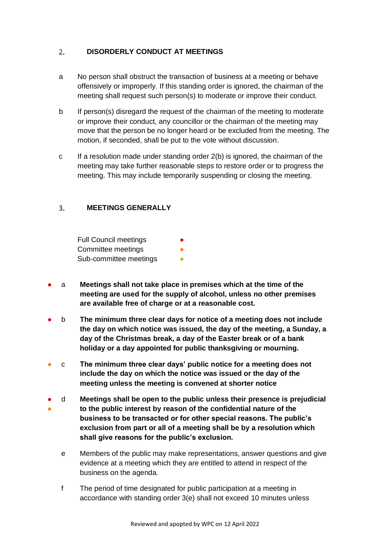#### <span id="page-6-0"></span>**DISORDERLY CONDUCT AT MEETINGS**  $2.$

- a No person shall obstruct the transaction of business at a meeting or behave offensively or improperly. If this standing order is ignored, the chairman of the meeting shall request such person(s) to moderate or improve their conduct.
- b If person(s) disregard the request of the chairman of the meeting to moderate or improve their conduct, any councillor or the chairman of the meeting may move that the person be no longer heard or be excluded from the meeting. The motion, if seconded, shall be put to the vote without discussion.
- c If a resolution made under standing order 2(b) is ignored, the chairman of the meeting may take further reasonable steps to restore order or to progress the meeting. This may include temporarily suspending or closing the meeting.

#### <span id="page-6-1"></span>**MEETINGS GENERALLY** 3.

Full Council meetings Committee meetings Sub-committee meetings

- a **Meetings shall not take place in premises which at the time of the meeting are used for the supply of alcohol, unless no other premises are available free of charge or at a reasonable cost.**
- b **The minimum three clear days for notice of a meeting does not include the day on which notice was issued, the day of the meeting, a Sunday, a day of the Christmas break, a day of the Easter break or of a bank holiday or a day appointed for public thanksgiving or mourning.**
- c **The minimum three clear days' public notice for a meeting does not include the day on which the notice was issued or the day of the meeting unless the meeting is convened at shorter notice**
- ● d **Meetings shall be open to the public unless their presence is prejudicial to the public interest by reason of the confidential nature of the business to be transacted or for other special reasons. The public's exclusion from part or all of a meeting shall be by a resolution which shall give reasons for the public's exclusion.**
	- e Members of the public may make representations, answer questions and give evidence at a meeting which they are entitled to attend in respect of the business on the agenda.
	- f The period of time designated for public participation at a meeting in accordance with standing order 3(e) shall not exceed 10 minutes unless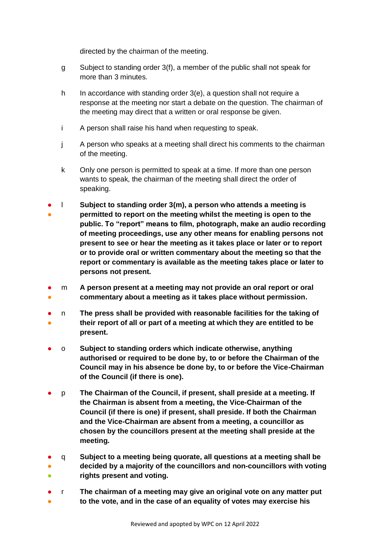directed by the chairman of the meeting.

- g Subject to standing order 3(f), a member of the public shall not speak for more than 3 minutes.
- h In accordance with standing order 3(e), a question shall not require a response at the meeting nor start a debate on the question. The chairman of the meeting may direct that a written or oral response be given.
- i A person shall raise his hand when requesting to speak.
- j A person who speaks at a meeting shall direct his comments to the chairman of the meeting.
- k Only one person is permitted to speak at a time. If more than one person wants to speak, the chairman of the meeting shall direct the order of speaking.
- ● l **Subject to standing order 3(m), a person who attends a meeting is permitted to report on the meeting whilst the meeting is open to the public. To "report" means to film, photograph, make an audio recording of meeting proceedings, use any other means for enabling persons not present to see or hear the meeting as it takes place or later or to report or to provide oral or written commentary about the meeting so that the report or commentary is available as the meeting takes place or later to persons not present.**
- ● m **A person present at a meeting may not provide an oral report or oral commentary about a meeting as it takes place without permission.**
- ● n **The press shall be provided with reasonable facilities for the taking of their report of all or part of a meeting at which they are entitled to be present.**
- o **Subject to standing orders which indicate otherwise, anything authorised or required to be done by, to or before the Chairman of the Council may in his absence be done by, to or before the Vice-Chairman of the Council (if there is one).**
- p **The Chairman of the Council, if present, shall preside at a meeting. If the Chairman is absent from a meeting, the Vice-Chairman of the Council (if there is one) if present, shall preside. If both the Chairman and the Vice-Chairman are absent from a meeting, a councillor as chosen by the councillors present at the meeting shall preside at the meeting.**
- ● ● q **Subject to a meeting being quorate, all questions at a meeting shall be decided by a majority of the councillors and non-councillors with voting rights present and voting.**
- ● r **The chairman of a meeting may give an original vote on any matter put to the vote, and in the case of an equality of votes may exercise his**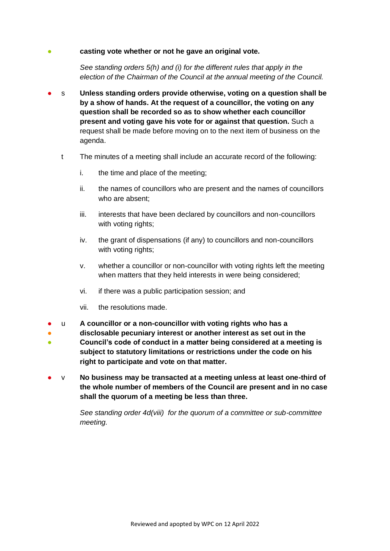## casting vote whether or not he gave an original vote.

*See standing orders 5(h) and (i) for the different rules that apply in the election of the Chairman of the Council at the annual meeting of the Council.*

- s **Unless standing orders provide otherwise, voting on a question shall be by a show of hands. At the request of a councillor, the voting on any question shall be recorded so as to show whether each councillor present and voting gave his vote for or against that question.** Such a request shall be made before moving on to the next item of business on the agenda.
	- t The minutes of a meeting shall include an accurate record of the following:
		- i. the time and place of the meeting;
		- ii. the names of councillors who are present and the names of councillors who are absent;
		- iii. interests that have been declared by councillors and non-councillors with voting rights;
		- iv. the grant of dispensations (if any) to councillors and non-councillors with voting rights;
		- v. whether a councillor or non-councillor with voting rights left the meeting when matters that they held interests in were being considered;
		- vi. if there was a public participation session; and
		- vii. the resolutions made.
- u **A councillor or a non-councillor with voting rights who has a**
- ● **disclosable pecuniary interest or another interest as set out in the Council's code of conduct in a matter being considered at a meeting is subject to statutory limitations or restrictions under the code on his right to participate and vote on that matter.**
- v **No business may be transacted at a meeting unless at least one-third of the whole number of members of the Council are present and in no case shall the quorum of a meeting be less than three.**

*See standing order 4d(viii) for the quorum of a committee or sub-committee meeting.*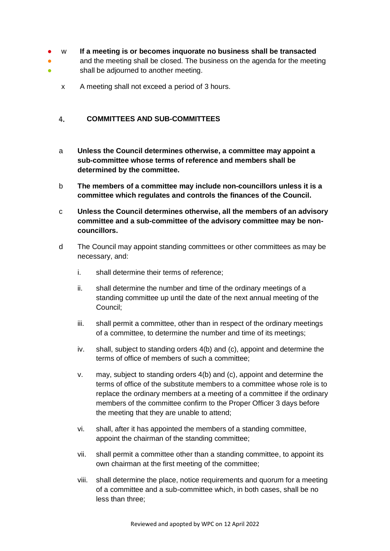#### ● w **If a meeting is or becomes inquorate no business shall be transacted**

- 。<br>● ● and the meeting shall be closed. The business on the agenda for the meeting shall be adjourned to another meeting.
	- x A meeting shall not exceed a period of 3 hours.

#### <span id="page-9-0"></span> $4_{-}$ **COMMITTEES AND SUB-COMMITTEES**

- a **Unless the Council determines otherwise, a committee may appoint a sub-committee whose terms of reference and members shall be determined by the committee.**
- b **The members of a committee may include non-councillors unless it is a committee which regulates and controls the finances of the Council.**
- c **Unless the Council determines otherwise, all the members of an advisory committee and a sub-committee of the advisory committee may be noncouncillors.**
- d The Council may appoint standing committees or other committees as may be necessary, and:
	- i. shall determine their terms of reference;
	- ii. shall determine the number and time of the ordinary meetings of a standing committee up until the date of the next annual meeting of the Council;
	- iii. shall permit a committee, other than in respect of the ordinary meetings of a committee, to determine the number and time of its meetings;
	- iv. shall, subject to standing orders 4(b) and (c), appoint and determine the terms of office of members of such a committee;
	- v. may, subject to standing orders 4(b) and (c), appoint and determine the terms of office of the substitute members to a committee whose role is to replace the ordinary members at a meeting of a committee if the ordinary members of the committee confirm to the Proper Officer 3 days before the meeting that they are unable to attend;
	- vi. shall, after it has appointed the members of a standing committee, appoint the chairman of the standing committee;
	- vii. shall permit a committee other than a standing committee, to appoint its own chairman at the first meeting of the committee;
	- viii. shall determine the place, notice requirements and quorum for a meeting of a committee and a sub-committee which, in both cases, shall be no less than three;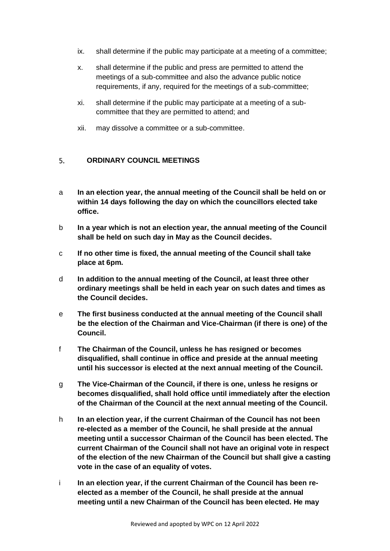- ix. shall determine if the public may participate at a meeting of a committee;
- x. shall determine if the public and press are permitted to attend the meetings of a sub-committee and also the advance public notice requirements, if any, required for the meetings of a sub-committee;
- xi. shall determine if the public may participate at a meeting of a subcommittee that they are permitted to attend; and
- xii. may dissolve a committee or a sub-committee.

#### <span id="page-10-0"></span>5. **ORDINARY COUNCIL MEETINGS**

- a **In an election year, the annual meeting of the Council shall be held on or within 14 days following the day on which the councillors elected take office.**
- b **In a year which is not an election year, the annual meeting of the Council shall be held on such day in May as the Council decides.**
- c **If no other time is fixed, the annual meeting of the Council shall take place at 6pm.**
- d **In addition to the annual meeting of the Council, at least three other ordinary meetings shall be held in each year on such dates and times as the Council decides.**
- e **The first business conducted at the annual meeting of the Council shall be the election of the Chairman and Vice-Chairman (if there is one) of the Council.**
- f **The Chairman of the Council, unless he has resigned or becomes disqualified, shall continue in office and preside at the annual meeting until his successor is elected at the next annual meeting of the Council.**
- g **The Vice-Chairman of the Council, if there is one, unless he resigns or becomes disqualified, shall hold office until immediately after the election of the Chairman of the Council at the next annual meeting of the Council.**
- h **In an election year, if the current Chairman of the Council has not been re-elected as a member of the Council, he shall preside at the annual meeting until a successor Chairman of the Council has been elected. The current Chairman of the Council shall not have an original vote in respect of the election of the new Chairman of the Council but shall give a casting vote in the case of an equality of votes.**
- i **In an election year, if the current Chairman of the Council has been reelected as a member of the Council, he shall preside at the annual meeting until a new Chairman of the Council has been elected. He may**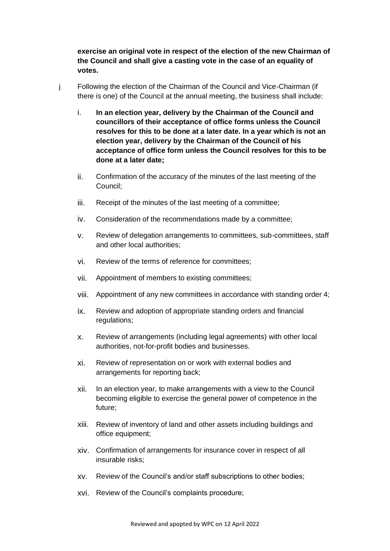**exercise an original vote in respect of the election of the new Chairman of the Council and shall give a casting vote in the case of an equality of votes.**

- j Following the election of the Chairman of the Council and Vice-Chairman (if there is one) of the Council at the annual meeting, the business shall include:
	- i. **In an election year, delivery by the Chairman of the Council and councillors of their acceptance of office forms unless the Council resolves for this to be done at a later date. In a year which is not an election year, delivery by the Chairman of the Council of his acceptance of office form unless the Council resolves for this to be done at a later date;**
	- ii. Confirmation of the accuracy of the minutes of the last meeting of the Council;
	- iii. Receipt of the minutes of the last meeting of a committee;
	- iv. Consideration of the recommendations made by a committee;
	- v. Review of delegation arrangements to committees, sub-committees, staff and other local authorities;
	- vi. Review of the terms of reference for committees;
	- vii. Appointment of members to existing committees;
	- viii. Appointment of any new committees in accordance with standing order 4;
	- ix. Review and adoption of appropriate standing orders and financial regulations;
	- x. Review of arrangements (including legal agreements) with other local authorities, not-for-profit bodies and businesses.
	- xi. Review of representation on or work with external bodies and arrangements for reporting back;
	- xii. In an election year, to make arrangements with a view to the Council becoming eligible to exercise the general power of competence in the future;
	- xiii. Review of inventory of land and other assets including buildings and office equipment;
	- xiv. Confirmation of arrangements for insurance cover in respect of all insurable risks;
	- xv. Review of the Council's and/or staff subscriptions to other bodies;
	- xvi. Review of the Council's complaints procedure;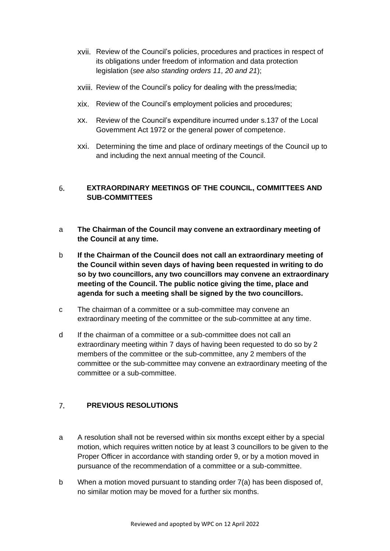- xvii. Review of the Council's policies, procedures and practices in respect of its obligations under freedom of information and data protection legislation (*see also standing orders 11, 20 and 21*);
- xviii. Review of the Council's policy for dealing with the press/media;
- xix. Review of the Council's employment policies and procedures;
- xx. Review of the Council's expenditure incurred under s.137 of the Local Government Act 1972 or the general power of competence.
- xxi. Determining the time and place of ordinary meetings of the Council up to and including the next annual meeting of the Council.

## <span id="page-12-0"></span>**EXTRAORDINARY MEETINGS OF THE COUNCIL, COMMITTEES AND**  6. **SUB-COMMITTEES**

- a **The Chairman of the Council may convene an extraordinary meeting of the Council at any time.**
- b **If the Chairman of the Council does not call an extraordinary meeting of the Council within seven days of having been requested in writing to do so by two councillors, any two councillors may convene an extraordinary meeting of the Council. The public notice giving the time, place and agenda for such a meeting shall be signed by the two councillors.**
- c The chairman of a committee or a sub-committee may convene an extraordinary meeting of the committee or the sub-committee at any time.
- d If the chairman of a committee or a sub-committee does not call an extraordinary meeting within 7 days of having been requested to do so by 2 members of the committee or the sub-committee, any 2 members of the committee or the sub-committee may convene an extraordinary meeting of the committee or a sub-committee.

#### <span id="page-12-1"></span>**PREVIOUS RESOLUTIONS**  $7<sub>1</sub>$

- a A resolution shall not be reversed within six months except either by a special motion, which requires written notice by at least 3 councillors to be given to the Proper Officer in accordance with standing order 9, or by a motion moved in pursuance of the recommendation of a committee or a sub-committee.
- b When a motion moved pursuant to standing order 7(a) has been disposed of, no similar motion may be moved for a further six months.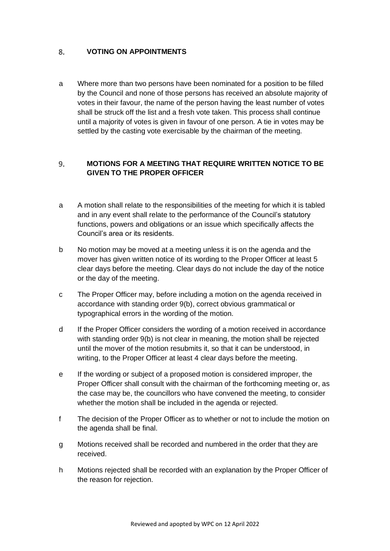#### <span id="page-13-0"></span>**VOTING ON APPOINTMENTS** 8.

a Where more than two persons have been nominated for a position to be filled by the Council and none of those persons has received an absolute majority of votes in their favour, the name of the person having the least number of votes shall be struck off the list and a fresh vote taken. This process shall continue until a majority of votes is given in favour of one person. A tie in votes may be settled by the casting vote exercisable by the chairman of the meeting.

### <span id="page-13-1"></span>**MOTIONS FOR A MEETING THAT REQUIRE WRITTEN NOTICE TO BE**  9. **GIVEN TO THE PROPER OFFICER**

- a A motion shall relate to the responsibilities of the meeting for which it is tabled and in any event shall relate to the performance of the Council's statutory functions, powers and obligations or an issue which specifically affects the Council's area or its residents.
- b No motion may be moved at a meeting unless it is on the agenda and the mover has given written notice of its wording to the Proper Officer at least 5 clear days before the meeting. Clear days do not include the day of the notice or the day of the meeting.
- c The Proper Officer may, before including a motion on the agenda received in accordance with standing order 9(b), correct obvious grammatical or typographical errors in the wording of the motion.
- d If the Proper Officer considers the wording of a motion received in accordance with standing order 9(b) is not clear in meaning, the motion shall be rejected until the mover of the motion resubmits it, so that it can be understood, in writing, to the Proper Officer at least 4 clear days before the meeting.
- e If the wording or subject of a proposed motion is considered improper, the Proper Officer shall consult with the chairman of the forthcoming meeting or, as the case may be, the councillors who have convened the meeting, to consider whether the motion shall be included in the agenda or rejected.
- f The decision of the Proper Officer as to whether or not to include the motion on the agenda shall be final.
- g Motions received shall be recorded and numbered in the order that they are received.
- h Motions rejected shall be recorded with an explanation by the Proper Officer of the reason for rejection.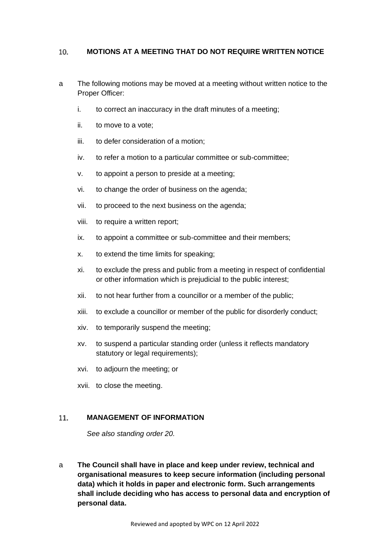#### <span id="page-14-0"></span>**MOTIONS AT A MEETING THAT DO NOT REQUIRE WRITTEN NOTICE**  10.

- a The following motions may be moved at a meeting without written notice to the Proper Officer:
	- i. to correct an inaccuracy in the draft minutes of a meeting;
	- ii. to move to a vote;
	- iii. to defer consideration of a motion;
	- iv. to refer a motion to a particular committee or sub-committee;
	- v. to appoint a person to preside at a meeting;
	- vi. to change the order of business on the agenda;
	- vii. to proceed to the next business on the agenda;
	- viii. to require a written report;
	- ix. to appoint a committee or sub-committee and their members;
	- x. to extend the time limits for speaking;
	- xi. to exclude the press and public from a meeting in respect of confidential or other information which is prejudicial to the public interest;
	- xii. to not hear further from a councillor or a member of the public;
	- xiii. to exclude a councillor or member of the public for disorderly conduct;
	- xiv. to temporarily suspend the meeting;
	- xv. to suspend a particular standing order (unless it reflects mandatory statutory or legal requirements);
	- xvi. to adjourn the meeting; or
	- xvii. to close the meeting.

#### <span id="page-14-1"></span>11. **MANAGEMENT OF INFORMATION**

*See also standing order 20.*

a **The Council shall have in place and keep under review, technical and organisational measures to keep secure information (including personal data) which it holds in paper and electronic form. Such arrangements shall include deciding who has access to personal data and encryption of personal data.**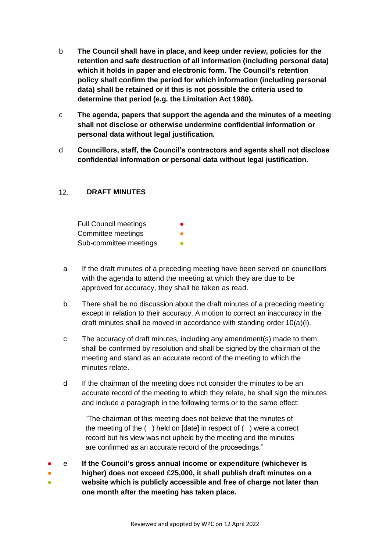- b **The Council shall have in place, and keep under review, policies for the retention and safe destruction of all information (including personal data) which it holds in paper and electronic form. The Council's retention policy shall confirm the period for which information (including personal data) shall be retained or if this is not possible the criteria used to determine that period (e.g. the Limitation Act 1980).**
- c **The agenda, papers that support the agenda and the minutes of a meeting shall not disclose or otherwise undermine confidential information or personal data without legal justification.**
- d **Councillors, staff, the Council's contractors and agents shall not disclose confidential information or personal data without legal justification.**

#### <span id="page-15-0"></span>**DRAFT MINUTES**  12.

Full Council meetings Committee meetings Sub-committee meetings **•** 

- a If the draft minutes of a preceding meeting have been served on councillors with the agenda to attend the meeting at which they are due to be approved for accuracy, they shall be taken as read.
- b There shall be no discussion about the draft minutes of a preceding meeting except in relation to their accuracy. A motion to correct an inaccuracy in the draft minutes shall be moved in accordance with standing order 10(a)(i).
- c The accuracy of draft minutes, including any amendment(s) made to them, shall be confirmed by resolution and shall be signed by the chairman of the meeting and stand as an accurate record of the meeting to which the minutes relate.
- d If the chairman of the meeting does not consider the minutes to be an accurate record of the meeting to which they relate, he shall sign the minutes and include a paragraph in the following terms or to the same effect:

"The chairman of this meeting does not believe that the minutes of the meeting of the ( ) held on [date] in respect of ( ) were a correct record but his view was not upheld by the meeting and the minutes are confirmed as an accurate record of the proceedings."

- e **If the Council's gross annual income or expenditure (whichever is**
- ● **higher) does not exceed £25,000, it shall publish draft minutes on a website which is publicly accessible and free of charge not later than one month after the meeting has taken place.**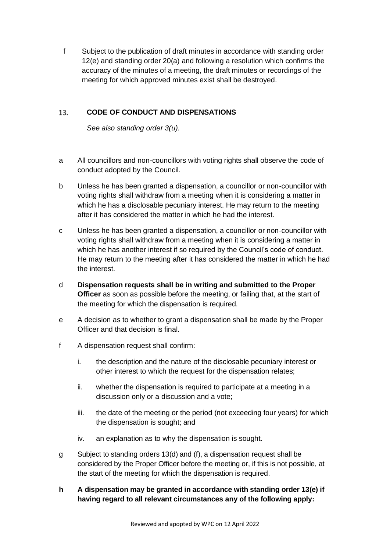f Subject to the publication of draft minutes in accordance with standing order 12(e) and standing order 20(a) and following a resolution which confirms the accuracy of the minutes of a meeting, the draft minutes or recordings of the meeting for which approved minutes exist shall be destroyed.

#### <span id="page-16-0"></span>13. **CODE OF CONDUCT AND DISPENSATIONS**

*See also standing order 3(u).*

- a All councillors and non-councillors with voting rights shall observe the code of conduct adopted by the Council.
- b Unless he has been granted a dispensation, a councillor or non-councillor with voting rights shall withdraw from a meeting when it is considering a matter in which he has a disclosable pecuniary interest. He may return to the meeting after it has considered the matter in which he had the interest.
- c Unless he has been granted a dispensation, a councillor or non-councillor with voting rights shall withdraw from a meeting when it is considering a matter in which he has another interest if so required by the Council's code of conduct. He may return to the meeting after it has considered the matter in which he had the interest.
- d **Dispensation requests shall be in writing and submitted to the Proper Officer** as soon as possible before the meeting, or failing that, at the start of the meeting for which the dispensation is required.
- e A decision as to whether to grant a dispensation shall be made by the Proper Officer and that decision is final.
- f A dispensation request shall confirm:
	- i. the description and the nature of the disclosable pecuniary interest or other interest to which the request for the dispensation relates;
	- ii. whether the dispensation is required to participate at a meeting in a discussion only or a discussion and a vote;
	- iii. the date of the meeting or the period (not exceeding four years) for which the dispensation is sought; and
	- iv. an explanation as to why the dispensation is sought.
- g Subject to standing orders 13(d) and (f), a dispensation request shall be considered by the Proper Officer before the meeting or, if this is not possible, at the start of the meeting for which the dispensation is required.
- **h A dispensation may be granted in accordance with standing order 13(e) if having regard to all relevant circumstances any of the following apply:**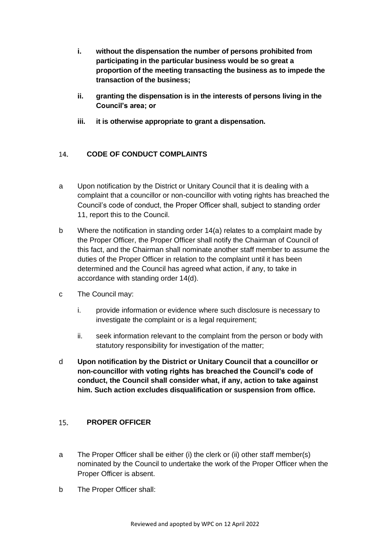- **i. without the dispensation the number of persons prohibited from participating in the particular business would be so great a proportion of the meeting transacting the business as to impede the transaction of the business;**
- **ii. granting the dispensation is in the interests of persons living in the Council's area; or**
- **iii. it is otherwise appropriate to grant a dispensation.**

#### <span id="page-17-0"></span> $14.$ **CODE OF CONDUCT COMPLAINTS**

- a Upon notification by the District or Unitary Council that it is dealing with a complaint that a councillor or non-councillor with voting rights has breached the Council's code of conduct, the Proper Officer shall, subject to standing order 11, report this to the Council.
- b Where the notification in standing order 14(a) relates to a complaint made by the Proper Officer, the Proper Officer shall notify the Chairman of Council of this fact, and the Chairman shall nominate another staff member to assume the duties of the Proper Officer in relation to the complaint until it has been determined and the Council has agreed what action, if any, to take in accordance with standing order 14(d).
- c The Council may:
	- i. provide information or evidence where such disclosure is necessary to investigate the complaint or is a legal requirement;
	- ii. seek information relevant to the complaint from the person or body with statutory responsibility for investigation of the matter;
- d **Upon notification by the District or Unitary Council that a councillor or non-councillor with voting rights has breached the Council's code of conduct, the Council shall consider what, if any, action to take against him. Such action excludes disqualification or suspension from office.**

#### <span id="page-17-1"></span> $15.$ **PROPER OFFICER**

- a The Proper Officer shall be either (i) the clerk or (ii) other staff member(s) nominated by the Council to undertake the work of the Proper Officer when the Proper Officer is absent.
- b The Proper Officer shall: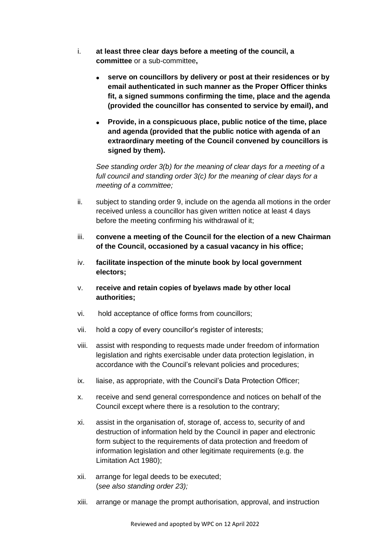- i. **at least three clear days before a meeting of the council, a committee** or a sub-committee**,**
	- **serve on councillors by delivery or post at their residences or by email authenticated in such manner as the Proper Officer thinks fit, a signed summons confirming the time, place and the agenda (provided the councillor has consented to service by email), and**
	- **Provide, in a conspicuous place, public notice of the time, place and agenda (provided that the public notice with agenda of an extraordinary meeting of the Council convened by councillors is signed by them).**

*See standing order 3(b) for the meaning of clear days for a meeting of a full council and standing order 3(c) for the meaning of clear days for a meeting of a committee;*

- ii. subject to standing order 9, include on the agenda all motions in the order received unless a councillor has given written notice at least 4 days before the meeting confirming his withdrawal of it;
- iii. **convene a meeting of the Council for the election of a new Chairman of the Council, occasioned by a casual vacancy in his office;**
- iv. **facilitate inspection of the minute book by local government electors;**
- v. **receive and retain copies of byelaws made by other local authorities;**
- vi. hold acceptance of office forms from councillors;
- vii. hold a copy of every councillor's register of interests;
- viii. assist with responding to requests made under freedom of information legislation and rights exercisable under data protection legislation, in accordance with the Council's relevant policies and procedures;
- ix. liaise, as appropriate, with the Council's Data Protection Officer;
- x. receive and send general correspondence and notices on behalf of the Council except where there is a resolution to the contrary;
- xi. assist in the organisation of, storage of, access to, security of and destruction of information held by the Council in paper and electronic form subject to the requirements of data protection and freedom of information legislation and other legitimate requirements (e.g. the Limitation Act 1980);
- xii. arrange for legal deeds to be executed; (*see also standing order 23);*
- xiii. arrange or manage the prompt authorisation, approval, and instruction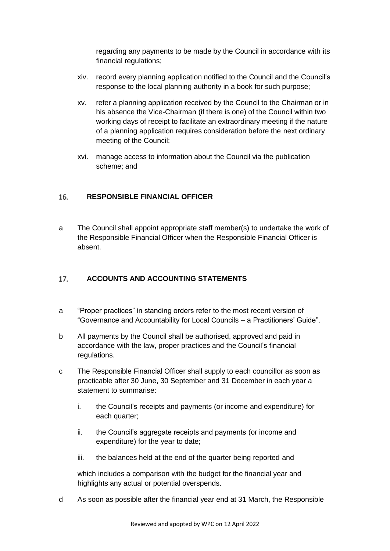regarding any payments to be made by the Council in accordance with its financial regulations;

- xiv. record every planning application notified to the Council and the Council's response to the local planning authority in a book for such purpose;
- xv. refer a planning application received by the Council to the Chairman or in his absence the Vice-Chairman (if there is one) of the Council within two working days of receipt to facilitate an extraordinary meeting if the nature of a planning application requires consideration before the next ordinary meeting of the Council;
- xvi. manage access to information about the Council via the publication scheme; and

#### <span id="page-19-0"></span>**RESPONSIBLE FINANCIAL OFFICER**  16.

a The Council shall appoint appropriate staff member(s) to undertake the work of the Responsible Financial Officer when the Responsible Financial Officer is absent.

#### <span id="page-19-1"></span>17. **ACCOUNTS AND ACCOUNTING STATEMENTS**

- a "Proper practices" in standing orders refer to the most recent version of "Governance and Accountability for Local Councils – a Practitioners' Guide".
- b All payments by the Council shall be authorised, approved and paid in accordance with the law, proper practices and the Council's financial regulations.
- c The Responsible Financial Officer shall supply to each councillor as soon as practicable after 30 June, 30 September and 31 December in each year a statement to summarise:
	- i. the Council's receipts and payments (or income and expenditure) for each quarter;
	- ii. the Council's aggregate receipts and payments (or income and expenditure) for the year to date;
	- iii. the balances held at the end of the quarter being reported and

which includes a comparison with the budget for the financial year and highlights any actual or potential overspends.

d As soon as possible after the financial year end at 31 March, the Responsible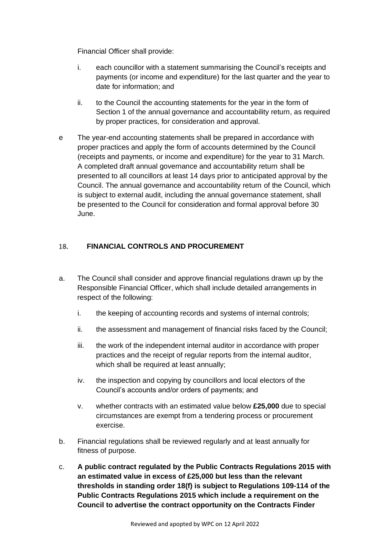Financial Officer shall provide:

- i. each councillor with a statement summarising the Council's receipts and payments (or income and expenditure) for the last quarter and the year to date for information; and
- ii. to the Council the accounting statements for the year in the form of Section 1 of the annual governance and accountability return, as required by proper practices, for consideration and approval.
- e The year-end accounting statements shall be prepared in accordance with proper practices and apply the form of accounts determined by the Council (receipts and payments, or income and expenditure) for the year to 31 March. A completed draft annual governance and accountability return shall be presented to all councillors at least 14 days prior to anticipated approval by the Council. The annual governance and accountability return of the Council, which is subject to external audit, including the annual governance statement, shall be presented to the Council for consideration and formal approval before 30 June.

#### <span id="page-20-0"></span>18. **FINANCIAL CONTROLS AND PROCUREMENT**

- a. The Council shall consider and approve financial regulations drawn up by the Responsible Financial Officer, which shall include detailed arrangements in respect of the following:
	- i. the keeping of accounting records and systems of internal controls;
	- ii. the assessment and management of financial risks faced by the Council;
	- iii. the work of the independent internal auditor in accordance with proper practices and the receipt of regular reports from the internal auditor, which shall be required at least annually;
	- iv. the inspection and copying by councillors and local electors of the Council's accounts and/or orders of payments; and
	- v. whether contracts with an estimated value below **£25,000** due to special circumstances are exempt from a tendering process or procurement exercise.
- b. Financial regulations shall be reviewed regularly and at least annually for fitness of purpose.
- c. **A public contract regulated by the Public Contracts Regulations 2015 with an estimated value in excess of £25,000 but less than the relevant thresholds in standing order 18(f) is subject to Regulations 109-114 of the Public Contracts Regulations 2015 which include a requirement on the Council to advertise the contract opportunity on the Contracts Finder**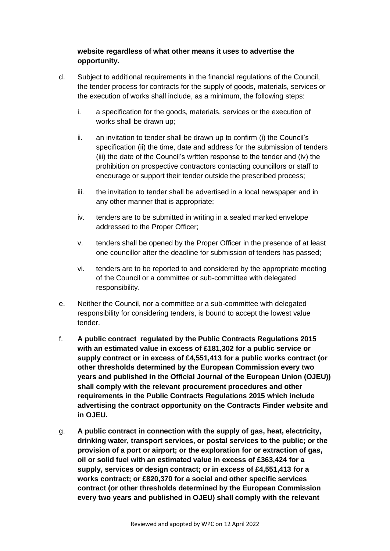# **website regardless of what other means it uses to advertise the opportunity.**

- d. Subject to additional requirements in the financial regulations of the Council, the tender process for contracts for the supply of goods, materials, services or the execution of works shall include, as a minimum, the following steps:
	- i. a specification for the goods, materials, services or the execution of works shall be drawn up;
	- ii. an invitation to tender shall be drawn up to confirm (i) the Council's specification (ii) the time, date and address for the submission of tenders (iii) the date of the Council's written response to the tender and (iv) the prohibition on prospective contractors contacting councillors or staff to encourage or support their tender outside the prescribed process;
	- iii. the invitation to tender shall be advertised in a local newspaper and in any other manner that is appropriate;
	- iv. tenders are to be submitted in writing in a sealed marked envelope addressed to the Proper Officer;
	- v. tenders shall be opened by the Proper Officer in the presence of at least one councillor after the deadline for submission of tenders has passed;
	- vi. tenders are to be reported to and considered by the appropriate meeting of the Council or a committee or sub-committee with delegated responsibility.
- e. Neither the Council, nor a committee or a sub-committee with delegated responsibility for considering tenders, is bound to accept the lowest value tender.
- f. **A public contract regulated by the Public Contracts Regulations 2015 with an estimated value in excess of £181,302 for a public service or supply contract or in excess of £4,551,413 for a public works contract (or other thresholds determined by the European Commission every two years and published in the Official Journal of the European Union (OJEU)) shall comply with the relevant procurement procedures and other requirements in the Public Contracts Regulations 2015 which include advertising the contract opportunity on the Contracts Finder website and in OJEU.**
- g. **A public contract in connection with the supply of gas, heat, electricity, drinking water, transport services, or postal services to the public; or the provision of a port or airport; or the exploration for or extraction of gas, oil or solid fuel with an estimated value in excess of £363,424 for a supply, services or design contract; or in excess of £4,551,413 for a works contract; or £820,370 for a social and other specific services contract (or other thresholds determined by the European Commission every two years and published in OJEU) shall comply with the relevant**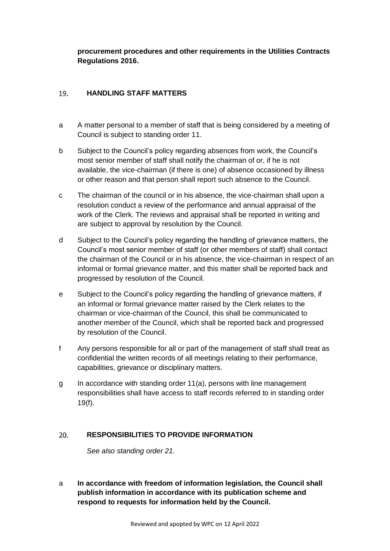**procurement procedures and other requirements in the Utilities Contracts Regulations 2016.**

#### <span id="page-22-0"></span>19. **HANDLING STAFF MATTERS**

- a A matter personal to a member of staff that is being considered by a meeting of Council is subject to standing order 11.
- b Subject to the Council's policy regarding absences from work, the Council's most senior member of staff shall notify the chairman of or, if he is not available, the vice-chairman (if there is one) of absence occasioned by illness or other reason and that person shall report such absence to the Council.
- c The chairman of the council or in his absence, the vice-chairman shall upon a resolution conduct a review of the performance and annual appraisal of the work of the Clerk. The reviews and appraisal shall be reported in writing and are subject to approval by resolution by the Council.
- d Subject to the Council's policy regarding the handling of grievance matters, the Council's most senior member of staff (or other members of staff) shall contact the chairman of the Council or in his absence, the vice-chairman in respect of an informal or formal grievance matter, and this matter shall be reported back and progressed by resolution of the Council.
- e Subject to the Council's policy regarding the handling of grievance matters, if an informal or formal grievance matter raised by the Clerk relates to the chairman or vice-chairman of the Council, this shall be communicated to another member of the Council, which shall be reported back and progressed by resolution of the Council.
- f Any persons responsible for all or part of the management of staff shall treat as confidential the written records of all meetings relating to their performance, capabilities, grievance or disciplinary matters.
- g In accordance with standing order 11(a), persons with line management responsibilities shall have access to staff records referred to in standing order 19(f).

#### <span id="page-22-1"></span>**RESPONSIBILITIES TO PROVIDE INFORMATION**  20.

*See also standing order 21.*

a **In accordance with freedom of information legislation, the Council shall publish information in accordance with its publication scheme and respond to requests for information held by the Council.**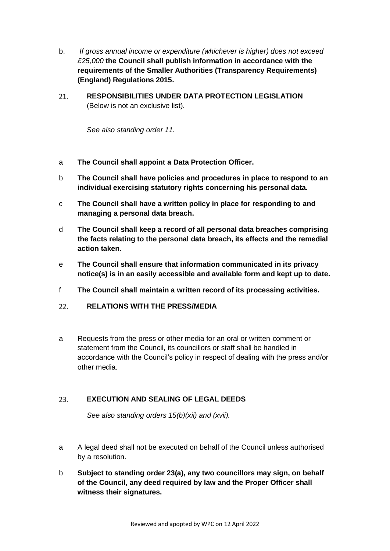- b. *If gross annual income or expenditure (whichever is higher) does not exceed £25,000* **the Council shall publish information in accordance with the requirements of the Smaller Authorities (Transparency Requirements) (England) Regulations 2015.**
- <span id="page-23-0"></span>**RESPONSIBILITIES UNDER DATA PROTECTION LEGISLATION**  21. (Below is not an exclusive list).

*See also standing order 11.*

- a **The Council shall appoint a Data Protection Officer.**
- b **The Council shall have policies and procedures in place to respond to an individual exercising statutory rights concerning his personal data.**
- c **The Council shall have a written policy in place for responding to and managing a personal data breach.**
- d **The Council shall keep a record of all personal data breaches comprising the facts relating to the personal data breach, its effects and the remedial action taken.**
- e **The Council shall ensure that information communicated in its privacy notice(s) is in an easily accessible and available form and kept up to date.**
- f **The Council shall maintain a written record of its processing activities.**
- <span id="page-23-1"></span>22. **RELATIONS WITH THE PRESS/MEDIA**
- a Requests from the press or other media for an oral or written comment or statement from the Council, its councillors or staff shall be handled in accordance with the Council's policy in respect of dealing with the press and/or other media.

#### <span id="page-23-2"></span>23. **EXECUTION AND SEALING OF LEGAL DEEDS**

*See also standing orders 15(b)(xii) and (xvii).*

- a A legal deed shall not be executed on behalf of the Council unless authorised by a resolution.
- b **Subject to standing order 23(a), any two councillors may sign, on behalf of the Council, any deed required by law and the Proper Officer shall witness their signatures.**